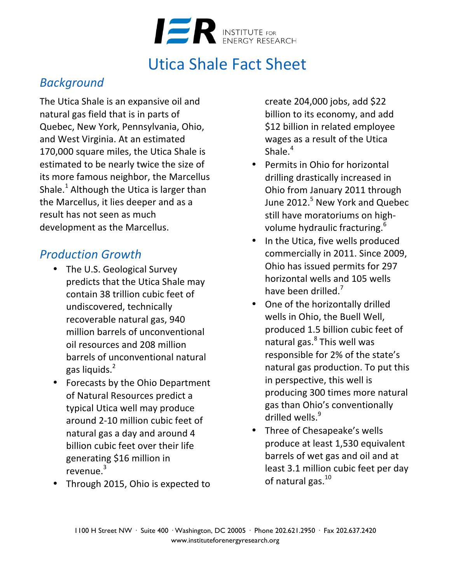

# Utica Shale Fact Sheet

#### *Background*

The Utica Shale is an expansive oil and natural gas field that is in parts of Quebec, New York, Pennsylvania, Ohio, and West Virginia. At an estimated 170,000 square miles, the Utica Shale is estimated to be nearly twice the size of its more famous neighbor, the Marcellus Shale.<sup>1</sup> Although the Utica is larger than the Marcellus, it lies deeper and as a result has not seen as much development as the Marcellus.

### *Production Growth*

- The U.S. Geological Survey predicts that the Utica Shale may contain 38 trillion cubic feet of undiscovered, technically recoverable natural gas, 940 million barrels of unconventional oil resources and 208 million barrels of unconventional natural gas liquids.<sup>2</sup>
- Forecasts by the Ohio Department of Natural Resources predict a typical Utica well may produce around 2-10 million cubic feet of natural gas a day and around 4 billion cubic feet over their life generating \$16 million in revenue.<sup>3</sup>
- Through 2015, Ohio is expected to

create 204,000 jobs, add \$22 billion to its economy, and add \$12 billion in related employee wages as a result of the Utica Shale $4$ 

- Permits in Ohio for horizontal drilling drastically increased in Ohio from January 2011 through June 2012.<sup>5</sup> New York and Quebec still have moratoriums on highvolume hydraulic fracturing.<sup>6</sup>
- In the Utica, five wells produced commercially in 2011. Since 2009, Ohio has issued permits for 297 horizontal wells and 105 wells have been drilled.<sup>7</sup>
- One of the horizontally drilled wells in Ohio, the Buell Well, produced 1.5 billion cubic feet of natural gas. $8$  This well was responsible for 2% of the state's natural gas production. To put this in perspective, this well is producing 300 times more natural gas than Ohio's conventionally drilled wells.<sup>9</sup>
- Three of Chesapeake's wells produce at least 1,530 equivalent barrels of wet gas and oil and at least 3.1 million cubic feet per day of natural gas. $^{10}$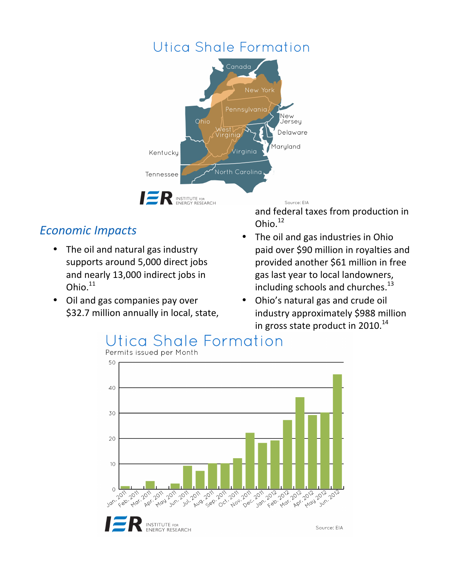## Utica Shale Formation



### *Economic Impacts*

- The oil and natural gas industry supports around 5,000 direct jobs and nearly 13,000 indirect jobs in Ohio. $11$
- Oil and gas companies pay over \$32.7 million annually in local, state,

and federal taxes from production in Ohio.<sup>12</sup>

- The oil and gas industries in Ohio paid over \$90 million in royalties and provided another \$61 million in free gas last year to local landowners, including schools and churches.<sup>13</sup>
- Ohio's natural gas and crude oil industry approximately \$988 million in gross state product in 2010. $^{14}$

# Utica Shale Formation